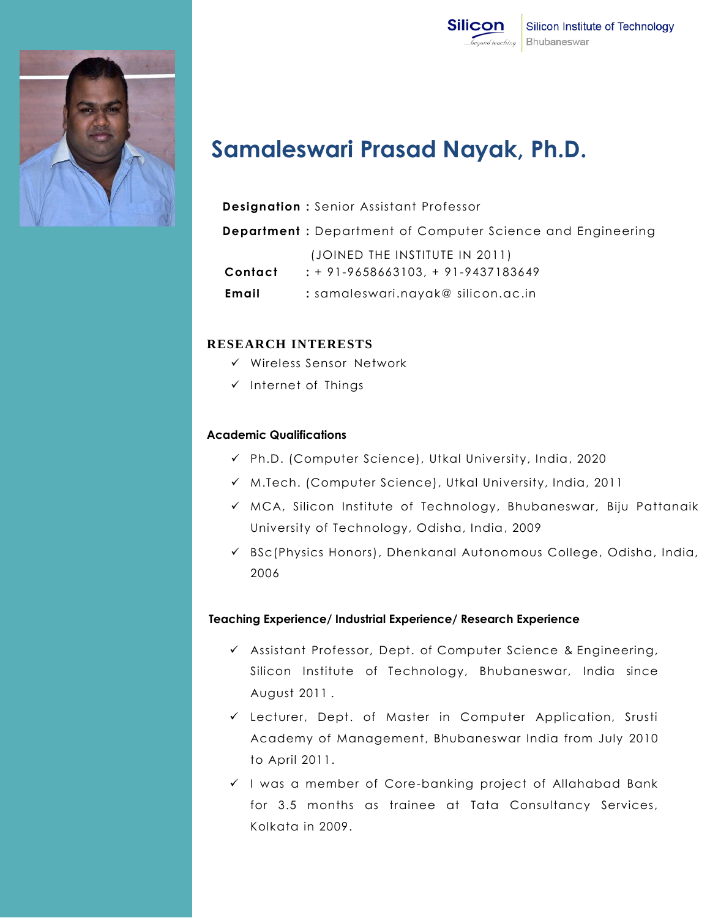



# **Samaleswari Prasad Nayak, Ph.D.**

## **Designation :** Senior Assistant Professor

**Department :** Department of Computer Science and Engineering

|         | (JOINED THE INSTITUTE IN 2011)          |
|---------|-----------------------------------------|
| Contact | $: + 91 - 9658663103 + 91 - 9437183649$ |
| Email   | : samaleswari.nayak@ silicon.ac.in      |

## **RESEARCH INTERESTS**

- $\checkmark$  Wireless Sensor Network
- $\checkmark$  Internet of Things

## **Academic Qualifications**

- Ph.D. (Computer Science), Utkal University, India, 2020
- $\checkmark$  M.Tech. (Computer Science), Utkal University, India, 2011
- MCA, Silicon Institute of Technology, Bhubaneswar, Biju Pattanaik University of Technology, Odisha, India, 2009
- $\checkmark$  BSc(Physics Honors), Dhenkanal Autonomous College, Odisha, India, 2006

#### **Teaching Experience/ Industrial Experience/ Research Experience**

- Assistant Professor, Dept. of Computer Science & Engineering, Silicon Institute of Technology, Bhubaneswar, India since August 2011 .
- Lecturer, Dept. of Master in Computer Application, Srusti Academy of Management, Bhubaneswar India from July 2010 to April 2011.
- $\checkmark$  I was a member of Core-banking project of Allahabad Bank for 3.5 months as trainee at Tata Consultancy Services, Kolkata in 2009.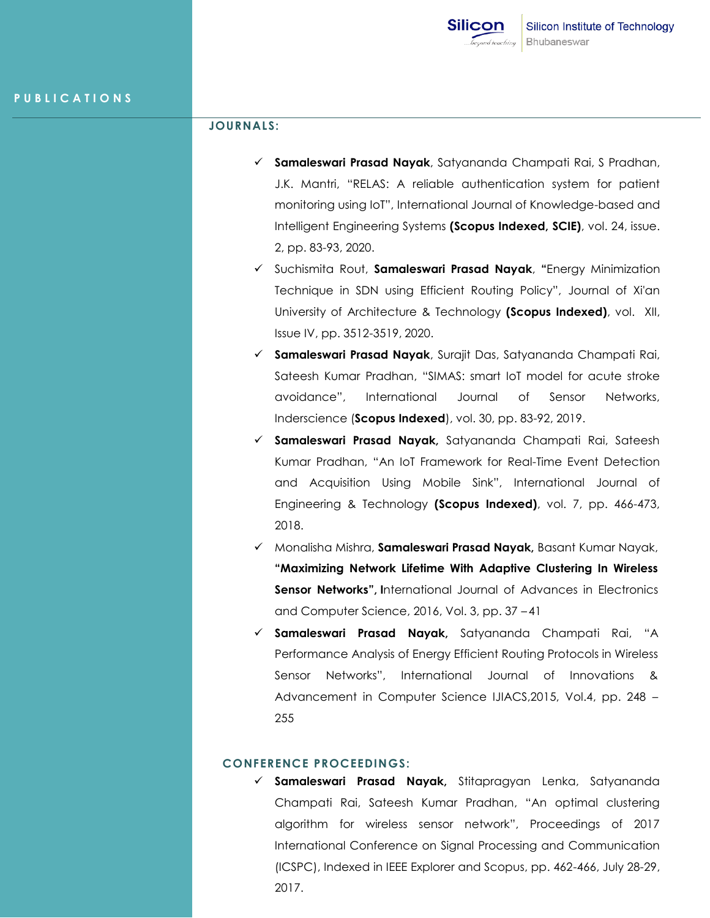## **JOURNALS:**

- **Samaleswari Prasad Nayak**, Satyananda Champati Rai, S Pradhan, J.K. Mantri, "RELAS: A reliable authentication system for patient monitoring using IoT", International Journal of Knowledge-based and Intelligent Engineering Systems **(Scopus Indexed, SCIE)**, vol. 24, issue. 2, pp. 83-93, 2020.
- Suchismita Rout, **Samaleswari Prasad Nayak**, **"**Energy Minimization Technique in SDN using Efficient Routing Policy", Journal of Xi'an University of Architecture & Technology **(Scopus Indexed)**, vol. XII, Issue IV, pp. 3512-3519, 2020.
- **Samaleswari Prasad Nayak**, Surajit Das, Satyananda Champati Rai, Sateesh Kumar Pradhan, "SIMAS: smart IoT model for acute stroke avoidance", International Journal of Sensor Networks, Inderscience (**Scopus Indexed**), vol. 30, pp. 83-92, 2019.
- **Samaleswari Prasad Nayak,** Satyananda Champati Rai, Sateesh Kumar Pradhan, "An IoT Framework for Real-Time Event Detection and Acquisition Using Mobile Sink", International Journal of Engineering & Technology **(Scopus Indexed)**, vol. 7, pp. 466-473, 2018.
- Monalisha Mishra, **Samaleswari Prasad Nayak,** Basant Kumar Nayak, **"Maximizing Network Lifetime With Adaptive Clustering In Wireless Sensor Networks", I**nternational Journal of Advances in Electronics and Computer Science, 2016, Vol. 3, pp. 37 – 41
- **Samaleswari Prasad Nayak,** Satyananda Champati Rai, "A Performance Analysis of Energy Efficient Routing Protocols in Wireless Sensor Networks", International Journal of Innovations & Advancement in Computer Science IJIACS,2015, Vol.4, pp. 248 – 255

## **CONFERENCE PROCEEDINGS:**

 **Samaleswari Prasad Nayak,** Stitapragyan Lenka, Satyananda Champati Rai, Sateesh Kumar Pradhan, "An optimal clustering algorithm for wireless sensor network", Proceedings of 2017 International Conference on Signal Processing and Communication (ICSPC), Indexed in IEEE Explorer and Scopus, pp. 462-466, July 28-29, 2017.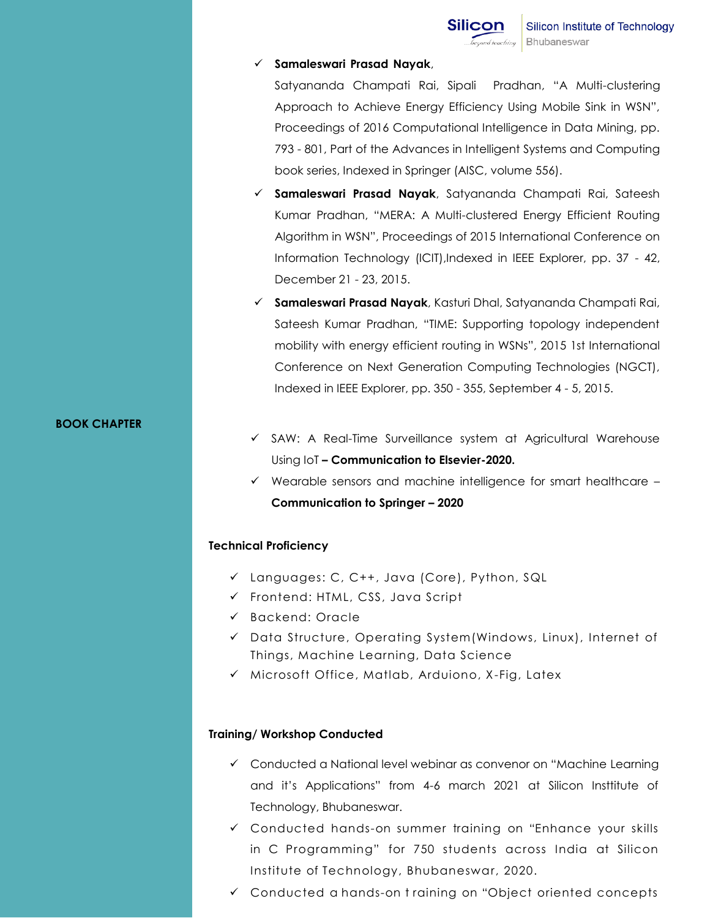

#### **Samaleswari Prasad Nayak**,

Satyananda Champati Rai, Sipali Pradhan, "A Multi-clustering Approach to Achieve Energy Efficiency Using Mobile Sink in WSN", Proceedings of 2016 Computational Intelligence in Data Mining, pp. 793 - 801, Part of the Advances in Intelligent Systems and Computing book series, Indexed in Springer (AISC, volume 556).

- **Samaleswari Prasad Nayak**, Satyananda Champati Rai, Sateesh Kumar Pradhan, "MERA: A Multi-clustered Energy Efficient Routing Algorithm in WSN", Proceedings of 2015 International Conference on Information Technology (ICIT),Indexed in IEEE Explorer, pp. 37 - 42, December 21 - 23, 2015.
- **Samaleswari Prasad Nayak**, Kasturi Dhal, Satyananda Champati Rai, Sateesh Kumar Pradhan, "TIME: Supporting topology independent mobility with energy efficient routing in WSNs", 2015 1st International Conference on Next Generation Computing Technologies (NGCT), Indexed in IEEE Explorer, pp. 350 - 355, September 4 - 5, 2015.

#### **BOOK CHAPTER**

- SAW: A Real-Time Surveillance system at Agricultural Warehouse Using IoT **– Communication to Elsevier-2020.**
- $\checkmark$  Wearable sensors and machine intelligence for smart healthcare **Communication to Springer – 2020**

## **Technical Proficiency**

- Languages: C, C++, Java (Core), Python, SQL
- $\checkmark$  Frontend: HTML, CSS, Java Script
- Backend: Oracle
- Data Structure, Operating System(Windows, Linux), Internet of Things, Machine Learning, Data Science
- $\checkmark$  Microsoft Office, Matlab, Arduiono, X-Fig, Latex

## **Training/ Workshop Conducted**

- $\checkmark$  Conducted a National level webinar as convenor on "Machine Learning" and it's Applications" from 4-6 march 2021 at Silicon Insttitute of Technology, Bhubaneswar.
- Conducted hands-on summer training on "Enhance your skills in C Programming" for 750 students across India at Silicon Institute of Technology, Bhubaneswar, 2020.
- Conducted a hands-on t raining on "Object oriented concepts